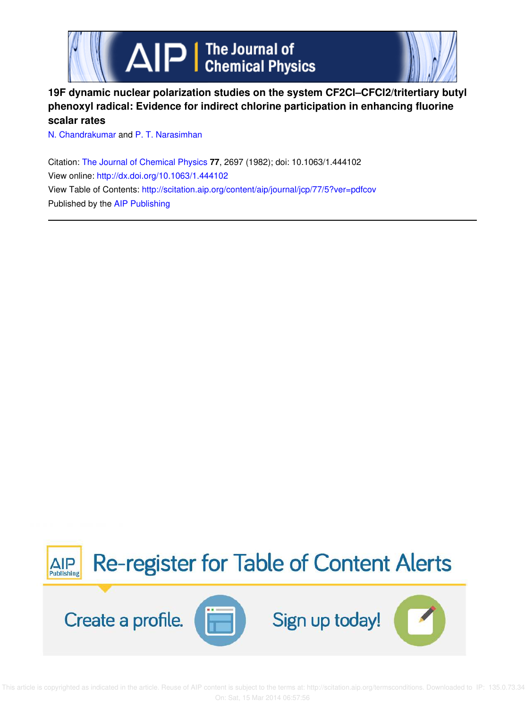

## **19F dynamic nuclear polarization studies on the system CF2Cl–CFCl2/tritertiary butyl phenoxyl radical: Evidence for indirect chlorine participation in enhancing fluorine scalar rates**

N. Chandrakumar and P. T. Narasimhan

Citation: The Journal of Chemical Physics **77**, 2697 (1982); doi: 10.1063/1.444102 View online: http://dx.doi.org/10.1063/1.444102 View Table of Contents: http://scitation.aip.org/content/aip/journal/jcp/77/5?ver=pdfcov Published by the AIP Publishing



 This article is copyrighted as indicated in the article. Reuse of AIP content is subject to the terms at: http://scitation.aip.org/termsconditions. Downloaded to IP: 135.0.73.34 On: Sat, 15 Mar 2014 06:57:56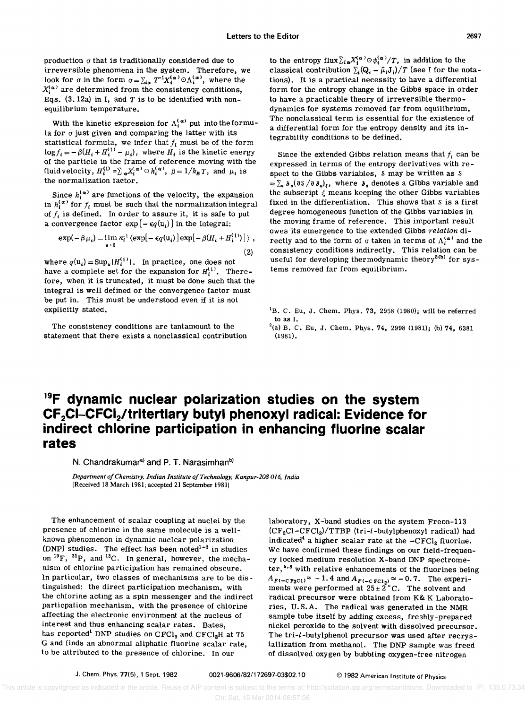production *a* that is traditionally considered due to irreversible phenomena in the system. Therefore, we look for  $\sigma$  in the form  $\sigma = \sum_{i \alpha} T^{-1} X_i^{(\alpha)} \odot \Lambda_i^{(\alpha)}$ , where the  $X_i^{(\alpha)}$  are determined from the consistency conditions, Eqs.  $(3. 12a)$  in I, and T is to be identified with nonequilibrium temperature.

With the kinetic expression for  $\Lambda_i^{(\alpha)}$  put into the formula for  $\sigma$  just given and comparing the latter with its statistical formula, we infer that  $f_i$  must be of the form  $\log f_i = -\beta (H_i + H_i^{(1)} - \mu_i)$ , where  $H_i$  is the kinetic energy of the particle in the frame of reference moving with the fluid velocity,  $H_i^{(1)} = \sum_{\alpha} X_i^{(\alpha)} \circ h_i^{(\alpha)}$ ,  $\beta = 1/k_B T$ , and  $\mu_i$  is the normalization factor.

Since  $h_i^{(\alpha)}$  are functions of the velocity, the expansion in  $h_i^{(\alpha)}$  for  $f_i$  must be such that the normalization integral of  $f_i$  is defined. In order to assure it, it is safe to put a convergence factor  $exp[-\epsilon q(u_i)]$  in the integral:

$$
\exp(-\beta \mu_i) = \lim_{\epsilon \to 0} n_i^{-1} \left\langle \exp[-\epsilon q(\mathbf{u}_i)] \exp[-\beta (H_i + H_i^{(1)})] \right\rangle ,
$$
\n(2)

where  $q(\mathbf{u}_i) = \text{Sup}_{u} |H_i^{(1)}|$ . In practice, one does not have a complete set for the expansion for  $H_i^{(1)}$ . Therefore, when it is truncated, it must be done such that the integral is well defined or the convergence factor must be put in. This must be understood even if it is not explicitly stated.

The consistency conditions are tantamount to the statement that there exists a nonclassical contribution to the entropy flux  $\sum_{i\alpha} X_i^{(\alpha)} \odot \psi_i^{(\alpha)}/T$ , in addition to the classical contribution  $\sum_i (Q_i - \hat{\mu}_i J_i) / T$  (see I for the notations). It is a practical necessity to have a differential form for the entropy change in the Gibbs space in order to have a practicable theory of irreversible thermodynamics for systems removed far from equilibrium. The nonclassical term is essential for the existence of a differential form for the entropy density and its integrability conditions to be defined.

Since the extended Gibbs relation means that  $f_i$  can be expressed in terms of the entropy derivatives with respect to the Gibbs variables, s may be written as <sup>S</sup>  $=\sum_a \delta_a(\partial s/\partial \delta_a)$ , where  $\delta_a$  denotes a Gibbs variable and the subscript  $\xi$  means keeping the other Gibbs variables fixed in the differentiation. This shows that S is a first degree homogeneous function of the Gibbs variables in the moving frame of reference. This important result owes its emergence to the extended Gibbs *relation* directly and to the form of  $\sigma$  taken in terms of  $\Lambda_i^{(\alpha)}$  and the consistency conditions indirectly. This relation can be useful for developing thermodynamic theory<sup>2(b)</sup> for systems removed far from equilibrium.

## **19F dynamic nuclear polarization studies on the system CF2CI-CFCl<sup>2</sup> /tritertiary butyl phenoxyl radical: Evidence for indirect chlorine participation in enhancing fluorine scalar rates**

N. Chandrakumar<sup>a)</sup> and P. T. Narasimhan<sup>b)</sup>

*Department o/Chemistry, Indian Institute o/Technology, Kanpur-208 016, India*  (Received 18 March 1981; accepted 21 September 1981)

The enhancement of scalar coupling at nuclei by the presence of chlorine in the same molecule is a wellknown phenomenon in dynamic nuclear polarization (DNP) studies. The effect has been noted $1-3$  in studies on  $^{19}F$ ,  $^{31}P$ , and  $^{13}C$ . In general, however, the mechanism of chlorine participation has remained obscure. In particular, two classes of mechanisms are to be distinguished: the direct participation mechanism, with the chlorine acting as a spin messenger and the indirect particpation mechanism, with the presence of chlorine affecting the electronic environment at the nucleus of interest and thus enhancing scalar rates. Bates, has reported<sup>1</sup> DNP studies on CFCl<sub>3</sub> and CFCl<sub>2</sub>H at 75 G and finds an abnormal aliphatic fluorine scalar rate, to be attributed to the presence of chlorine. In our

laboratory, X-band studies on the system Freon-113 (CF2CI-CFCI<sup>2</sup> )/TTBP (tri-t-butylphenoxyl radical) had indicated<sup>4</sup> a higher scalar rate at the  $-CFCI<sub>2</sub>$  fluorine. We have confirmed these findings on our field-frequency locked medium resolution X-band DNP spectrometer, 5.6 with relative enhancements of the fluorines being  $A_{F(-\text{CE}_2\text{Cl})} \approx -1.4$  and  $A_{F(-\text{CEC}_2)} \approx -0.7$ . The experiments were performed at  $25 \pm 2^{\circ}$ C. The solvent and radical precursor were obtained from K& K Laboratories, U.S.A. The radical was generated in the NMR sample tube itself by adding excess, freshly-prepared nickel peroxide to the solvent with dissolved precursor. The tri-t-butylphenol precursor was used after recrystallization from methanol. The DNP sample was freed of dissolved oxygen by bubbling oxygen-free nitrogen

 ${}^{1}$ B. C. Eu, J. Chem. Phys. 73, 2958 (1980); will be referred to as 1.

 $^{2}$ (a) B. C. Eu, J. Chem. Phys. 74, 2998 (1981); (b) 74, 6381 (1981).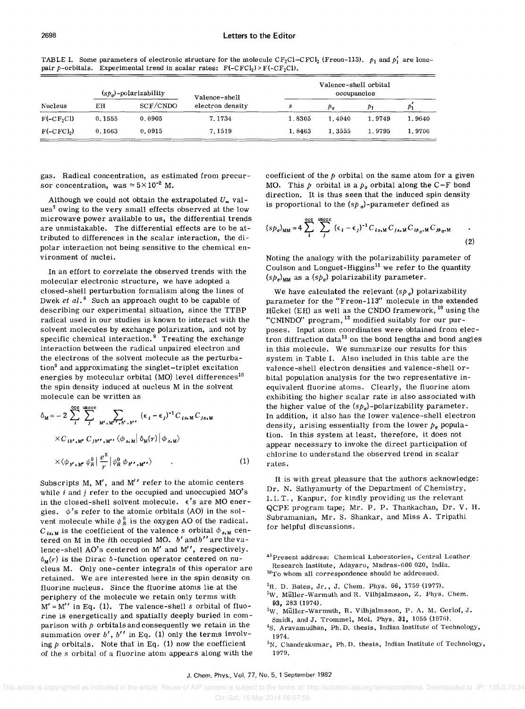| Nucleus     | $(s_p)$ -polarizability |          | Valence-shell    | Valence-shell orbital<br>occupancies |        |        |        |
|-------------|-------------------------|----------|------------------|--------------------------------------|--------|--------|--------|
|             | EН                      | SCF/CNDO | electron density | s                                    | $p_a$  | Þ1     |        |
| $F(-CF2Cl)$ | 0.1555                  | 0.0905   | 7.1734           | 1.8305                               | 1.4040 | 1.9749 | 1.9640 |
| $F(-CFCI2)$ | 0.1663                  | 0.0915   | 7.1519           | 1.8463                               | 1.3555 | 1.9795 | 1.9706 |

TABLE I. Some parameters of electronic structure for the molecule  $CF_2CI-CTCl_2$  (Freon-113).  $p_1$  and  $p'_1$  are lonepair p-orbitals. Experimental trend in scalar rates:  $F(-CFCI_2) > F(-CF_2Cl)$ .

gas. Radical concentration, as estimated from precursor concentration, was  $\simeq 5 \times 10^{-2}$  M.

Although we could not obtain the extrapolated  $U_{\infty}$  values<sup>7</sup> owing to the very small effects observed at the low microwave power available to us, the differential trends are unmistakable. The differential effects are to be attributed to differences in the scalar interaction, the dipolar interaction not being sensitive to the chemical environment of nuclei.

In an effort to correlate the observed trends with the molecular electronic structure, we have adopted a closed-shell perturbation formalism along the lines of Dwek *et al.*<sup>8</sup> Such an approach ought to be capable of describing our experimental situation, since the TTBP radical used in our studies is known to interact with the solvent molecules by exchange polarization, and not by specific chemical interaction. $9$  Treating the exchange interaction between the radical unpaired electron and the electrons of the solvent molecule as the perturbation $\delta$  and approximating the singlet-triplet excitation energies by molecular orbital (MO) level differences<sup>10</sup> the spin density induced at nucleus M in the solvent molecule can be written as

$$
\delta_{\mathbf{M}} = -2 \sum_{i}^{\text{occ}} \sum_{j}^{\text{uncoc}} \sum_{\mathbf{M'},\mathbf{M'},\mathbf{M'},\mathbf{b'},\mathbf{b'}} (\epsilon_{i} - \epsilon_{j})^{-1} C_{is,\mathbf{M}} C_{js,\mathbf{M}}
$$
  
× $C_{ib',\mathbf{M'}} C_{jb'',\mathbf{M''}} \langle \phi_{s,\mathbf{M}} | \delta_{\mathbf{M}}(r) | \phi_{s,\mathbf{M}} \rangle$   
× $\langle \phi_{b',\mathbf{M'}} \psi_{R}^0 | \frac{e^2}{r} | \psi_{R}^0 \phi_{b',\mathbf{M''}} \rangle$  (1)

Subscripts M,  $M'$ , and  $M''$  refer to the atomic centers while *i* and *j* refer to the occupied and unoccupied MO's in the closed-shell solvent molecule.  $\epsilon$ 's are MO energies.  $\phi$ 's refer to the atomic orbitals (AO) in the solvent molecule while  $\psi_R^0$  is the oxygen AO of the radical.  $C_{is,M}$  is the coefficient of the valence *s* orbital  $\phi_{s,M}$  centered on M in the ith occupied MO. *b'* andb" are the valence-shell AO's centered on M' and M", respectively.  $\delta_{\mathbf{M}}(r)$  is the Dirac  $\delta$ -function operator centered on nucleus M. Only one-center integrals of this operator are retained. We are interested here in the spin density on fluorine nucleus. Since the fluorine atoms lie at the periphery of the molecule we retain only terms with  $M' = M''$  in Eq. (1). The valence-shell *s* orbital of fluorine is energetically and spatially deeply buried in comparison with  $p$  orbitals and consequently we retain in the summation over  $b'$ ,  $b''$  in Eq. (1) only the terms involving  $p$  orbitals. Note that in Eq. (1) now the coefficient of the *s* orbital of a fluorine atom appears along with the coefficient of the  $p$  orbital on the same atom for a given MO. This  $p$  orbital is a  $p_{\sigma}$  orbital along the C-F bond direction. It is thus seen that the induced spin density is proportional to the  $(sp_{\sigma})$ -parameter defined as

$$
(sp_{\sigma})_{MM} = 4 \sum_{i}^{\text{occ}} \sum_{j}^{\text{unocc}} (\epsilon_{i} - \epsilon_{j})^{-1} C_{is,M} C_{js,M} C_{ip_{\sigma},M} C_{jp_{\sigma},M}
$$
 (2)

Noting the analogy with the polarizability parameter of Coulson and Longuet-Higgins $<sup>11</sup>$  we refer to the quantity</sup>  $(s p_{\sigma})_{MM}$  as a  $(s p_{\sigma})$  polarizability parameter.

We have calculated the relevant  $(sp_{\sigma})$  polarizability parameter for the "Freon-113" molecule in the extended Hückel (EH) as well as the CNDO framework,  $^{10}$  using the "CNINDO" program,  $^{12}$  modified suitably for our purposes. Input atom coordinates were obtained from electron diffraction data<sup>13</sup> on the bond lengths and bond angles in this molecule. We summarize our results for this system in Table 1. Also included in this table are the valence-shell electron densities and valence-shell orbital population analysis for the two representative inequivalent fluorine atoms. Clearly, the fluorine atom exhibiting the higher scalar rate is also associated with the higher value of the  $(sp_{\sigma})$ -polarizability parameter. In addition, it also has the lower valence-shell electron density, arising essentially from the lower  $p_{\sigma}$  population. In this system at least, therefore, it does not appear necessary to invoke the direct participation of chlorine to understand the observed trend in scalar rates.

It is with great pleasure that the authors acknowledge: Dr. N. Sathyamurty of the Department of Chemistry, 1. 1. T., Kanpur, for kindly providing us the relevant QCPE program tape; Mr. P. P. Thankachan, Dr. V. H. Subramanian, Mr. S. Shankar, and Miss A. Tripathi for helpful discussions.

a) Present address: Chemical Laboratories, Central Leather Research Institute, Adayaru, Madras-600 020, India. b)To whom all correspondence should be addressed.

- ${}^{1}$ R. D. Bates, Jr., J. Chem. Phys. 66, 1759 (1977).
- $2W$ . Müller-Warmuth and R. Vilhjalmsson, Z. Phys. Chem. 93, 283 (1974).
- 3W. Muller-Warmuth, R. Vilhjalmsson, P. A. M. Gerlof, J. Smidt, and J. Trommel, Mol. Phys. 31, 1055 (1976).
- $^{4}$ S. Aravamudhan, Ph.D. thesis, Indian Institute of Technology, 1974.
- ${}^{5}N$ . Chandrakumar, Ph. D. thesis, Indian Institute of Technology, 1979.